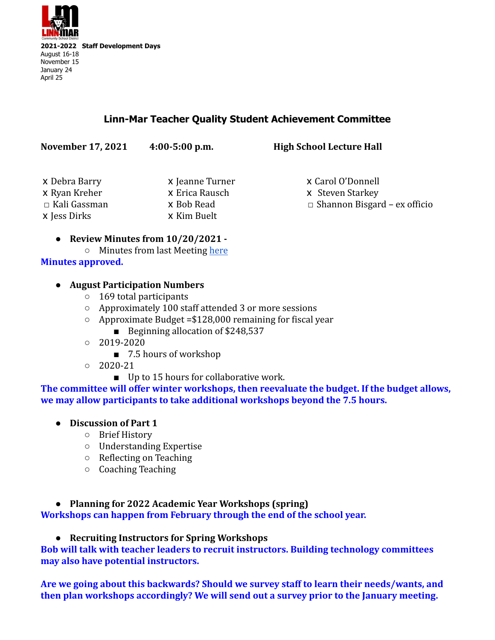

# **Linn-Mar Teacher Quality Student Achievement Committee**

| <b>November 17, 2021</b> | $4:00-5:00$ p.m. | <b>High School Lecture Hall</b>     |
|--------------------------|------------------|-------------------------------------|
| x Debra Barry            | x Jeanne Turner  | x Carol O'Donnell                   |
| x Ryan Kreher            | x Erica Rausch   | <b>x</b> Steven Starkey             |
| □ Kali Gassman           | x Bob Read       | $\Box$ Shannon Bisgard – ex officio |
| x Jess Dirks             | x Kim Buelt      |                                     |

- **● Review Minutes from 10/20/2021 -**
- Minutes from last Meeting [here](https://docs.google.com/document/d/1sKeVwhQXAHBJmyaLOqR1kdZ192GOGn6c2-tW_OwE6Ow/edit) **Minutes approved.**

#### **● August Participation Numbers**

- 169 total participants
- Approximately 100 staff attended 3 or more sessions
- Approximate Budget =\$128,000 remaining for fiscal year
	- Beginning allocation of \$248,537
- $02019 2020$ 
	- 7.5 hours of workshop
- $020-21$ 
	- Up to 15 hours for collaborative work.

**The committee will offer winter workshops, then reevaluate the budget. If the budget allows, we may allow participants to take additional workshops beyond the 7.5 hours.**

- **● Discussion of Part 1**
	- Brief History
	- Understanding Expertise
	- Reflecting on Teaching
	- Coaching Teaching

## **● Planning for 2022 Academic Year Workshops (spring)**

**Workshops can happen from February through the end of the school year.**

### **● Recruiting Instructors for Spring Workshops**

**Bob will talk with teacher leaders to recruit instructors. Building technology committees may also have potential instructors.**

**Are we going about this backwards? Should we survey staff to learn their needs/wants, and then plan workshops accordingly? We will send out a survey prior to the January meeting.**